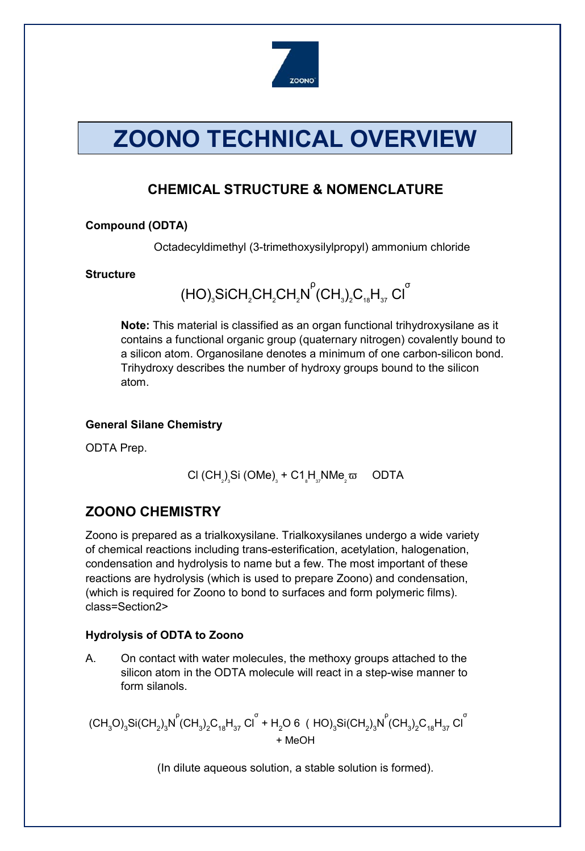

# **ZOONO TECHNICAL OVERVIEW**

# **CHEMICAL STRUCTURE & NOMENCLATURE**

## **Compound (ODTA)**

Octadecyldimethyl (3-trimethoxysilylpropyl) ammonium chloride

#### **Structure**

(HO) $_{\rm 3}$ SiCH $_{\rm 2}$ CH $_{\rm 2}$ CH $_{\rm 2}$ N ρ  $\overline{\text{CH}_3}$ <sub>2</sub>C<sub>18</sub>H<sub>37</sub> Cl<sup>o</sup>

**Note:** This material is classified as an organ functional trihydroxysilane as it contains a functional organic group (quaternary nitrogen) covalently bound to a silicon atom. Organosilane denotes a minimum of one carbon-silicon bond. Trihydroxy describes the number of hydroxy groups bound to the silicon atom.

## **General Silane Chemistry**

ODTA Prep.

$$
CI (CH2)s Si (OME)s + C1sHsNMe2 \omega
$$
 **ODTA**

# **ZOONO CHEMISTRY**

Zoono is prepared as a trialkoxysilane. Trialkoxysilanes undergo a wide variety of chemical reactions including trans-esterification, acetylation, halogenation, condensation and hydrolysis to name but a few. The most important of these reactions are hydrolysis (which is used to prepare Zoono) and condensation, (which is required for Zoono to bond to surfaces and form polymeric films). class=Section2>

## **Hydrolysis of ODTA to Zoono**

A. On contact with water molecules, the methoxy groups attached to the silicon atom in the ODTA molecule will react in a step-wise manner to form silanols.

 $(\text{CH}_3\text{O})_3\text{Si}(\text{CH}_2)_3\text{N}^{\text{P}}(\text{CH}_3)_2\text{C}_{18}\text{H}_{37}\text{Cl}^{\text{T}}$  + H<sub>2</sub>O 6 ( HO) $_3\text{Si}(\text{CH}_2)_3\text{N}^{\text{P}}(\text{CH}_3)_2\text{C}_{18}\text{H}_{37}\text{Cl}^{\text{T}}$ + MeOH

(In dilute aqueous solution, a stable solution is formed).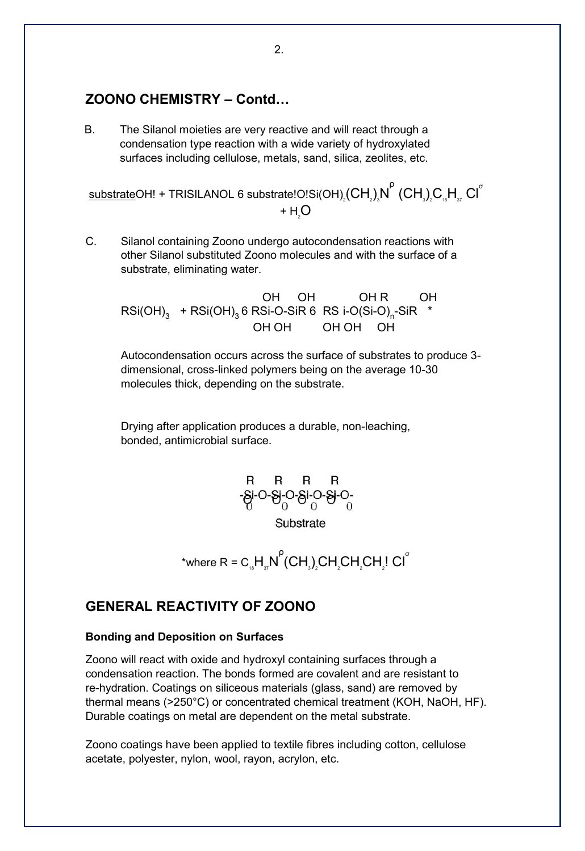## **ZOONO CHEMISTRY – Contd…**

B. The Silanol moieties are very reactive and will react through a condensation type reaction with a wide variety of hydroxylated surfaces including cellulose, metals, sand, silica, zeolites, etc.

 ${\sf subsetrate}$ OH! + TRISILANOL 6 substrate!O!Si(OH) $_{_2}$ (CH $_{_2})_{_3}$ N $^{^{\sf{P}}}$  (CH $_{_3})_{_2}$ C $_{_{\rm s\!}}$ H $_{_{\rm s\!}}$  Cl $^{^{\sf{\small{C}}}}$ + $H_{2}$ O

C. Silanol containing Zoono undergo autocondensation reactions with other Silanol substituted Zoono molecules and with the surface of a substrate, eliminating water.

OH OH OHR OH  $RSi(OH)_{3}$  + RSi(OH)<sub>3</sub> 6 RSi-O-SiR 6 RS i-O(Si-O)<sub>n</sub>-SiR \* OH OH OH OH OH

Autocondensation occurs across the surface of substrates to produce 3 dimensional, cross-linked polymers being on the average 10-30 molecules thick, depending on the substrate.

Drying after application produces a durable, non-leaching, bonded, antimicrobial surface.



$$
^* \text{where } R = C_{18} H_{37} N^P (CH_3)_2 CH_2 CH_2 CH_2! CH^T
$$

## **GENERAL REACTIVITY OF ZOONO**

#### **Bonding and Deposition on Surfaces**

Zoono will react with oxide and hydroxyl containing surfaces through a condensation reaction. The bonds formed are covalent and are resistant to re-hydration. Coatings on siliceous materials (glass, sand) are removed by thermal means (>250°C) or concentrated chemical treatment (KOH, NaOH, HF). Durable coatings on metal are dependent on the metal substrate.

Zoono coatings have been applied to textile fibres including cotton, cellulose acetate, polyester, nylon, wool, rayon, acrylon, etc.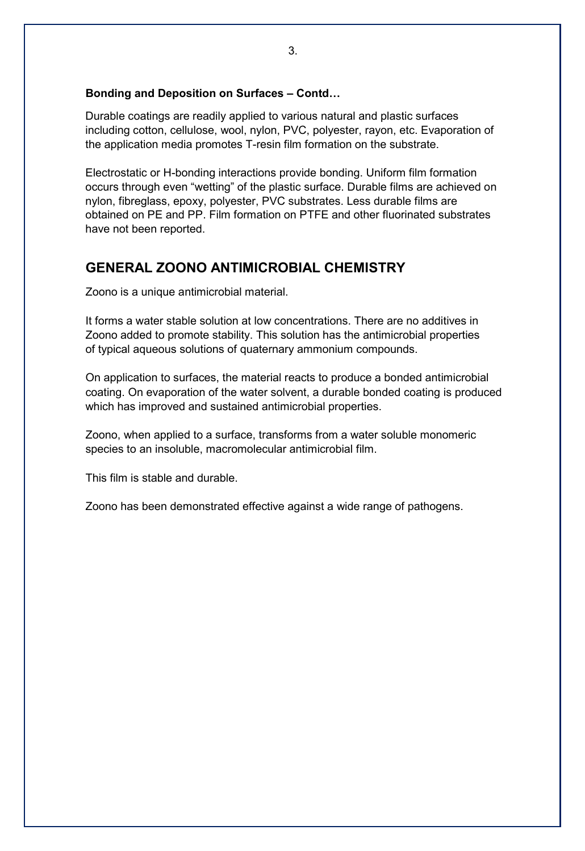#### **Bonding and Deposition on Surfaces – Contd…**

Durable coatings are readily applied to various natural and plastic surfaces including cotton, cellulose, wool, nylon, PVC, polyester, rayon, etc. Evaporation of the application media promotes T-resin film formation on the substrate.

Electrostatic or H-bonding interactions provide bonding. Uniform film formation occurs through even "wetting" of the plastic surface. Durable films are achieved on nylon, fibreglass, epoxy, polyester, PVC substrates. Less durable films are obtained on PE and PP. Film formation on PTFE and other fluorinated substrates have not been reported.

## **GENERAL ZOONO ANTIMICROBIAL CHEMISTRY**

Zoono is a unique antimicrobial material.

It forms a water stable solution at low concentrations. There are no additives in Zoono added to promote stability. This solution has the antimicrobial properties of typical aqueous solutions of quaternary ammonium compounds.

On application to surfaces, the material reacts to produce a bonded antimicrobial coating. On evaporation of the water solvent, a durable bonded coating is produced which has improved and sustained antimicrobial properties.

Zoono, when applied to a surface, transforms from a water soluble monomeric species to an insoluble, macromolecular antimicrobial film.

This film is stable and durable.

Zoono has been demonstrated effective against a wide range of pathogens.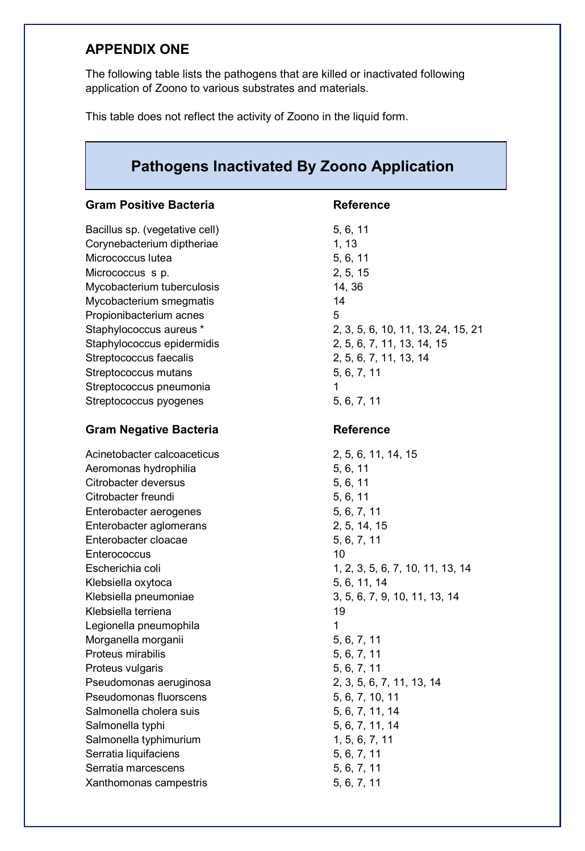# **APPENDIX ONE**

The following table lists the pathogens that are killed or inactivated following application of Zoono to various substrates and materials.

This table does not reflect the activity of Zoono in the liquid form.

| <b>Pathogens Inactivated By Zoono Application</b> |                                    |  |
|---------------------------------------------------|------------------------------------|--|
| <b>Gram Positive Bacteria</b>                     | <b>Reference</b>                   |  |
| Bacillus sp. (vegetative cell)                    | 5, 6, 11                           |  |
| Corynebacterium diptheriae                        | 1, 13                              |  |
| Micrococcus lutea                                 | 5, 6, 11                           |  |
| Micrococcus s p.                                  | 2, 5, 15                           |  |
| Mycobacterium tuberculosis                        | 14, 36                             |  |
| Mycobacterium smegmatis                           | 14                                 |  |
| Propionibacterium acnes                           | 5                                  |  |
| Staphylococcus aureus *                           | 2, 3, 5, 6, 10, 11, 13, 24, 15, 21 |  |
| Staphylococcus epidermidis                        | 2, 5, 6, 7, 11, 13, 14, 15         |  |
| Streptococcus faecalis                            | 2, 5, 6, 7, 11, 13, 14             |  |
| Streptococcus mutans                              | 5, 6, 7, 11                        |  |
| Streptococcus pneumonia                           | 1                                  |  |
| Streptococcus pyogenes                            | 5, 6, 7, 11                        |  |
| <b>Gram Negative Bacteria</b>                     | <b>Reference</b>                   |  |
| Acinetobacter calcoaceticus                       | 2, 5, 6, 11, 14, 15                |  |
| Aeromonas hydrophilia                             | 5, 6, 11                           |  |
| Citrobacter deversus                              | 5, 6, 11                           |  |
| Citrobacter freundi                               | 5, 6, 11                           |  |
| Enterobacter aerogenes                            | 5, 6, 7, 11                        |  |
| Enterobacter aglomerans                           | 2, 5, 14, 15                       |  |
| Enterobacter cloacae                              | 5, 6, 7, 11                        |  |
| Enterococcus                                      | 10                                 |  |
| Escherichia coli                                  | 1, 2, 3, 5, 6, 7, 10, 11, 13, 14   |  |
| Klebsiella oxytoca                                | 5, 6, 11, 14                       |  |
| Klebsiella pneumoniae                             | 3, 5, 6, 7, 9, 10, 11, 13, 14      |  |
| Klebsiella terriena                               | 19                                 |  |
| Legionella pneumophila                            | 1                                  |  |
| Morganella morganii                               | 5, 6, 7, 11                        |  |
| Proteus mirabilis                                 | 5, 6, 7, 11                        |  |
| Proteus vulgaris                                  | 5, 6, 7, 11                        |  |
| Pseudomonas aeruginosa                            | 2, 3, 5, 6, 7, 11, 13, 14          |  |
| Pseudomonas fluorscens                            | 5, 6, 7, 10, 11                    |  |
| Salmonella cholera suis                           | 5, 6, 7, 11, 14                    |  |
| Salmonella typhi                                  | 5, 6, 7, 11, 14                    |  |
| Salmonella typhimurium                            | 1, 5, 6, 7, 11                     |  |
| Serratia liquifaciens                             | 5, 6, 7, 11                        |  |
| Serratia marcescens                               | 5, 6, 7, 11                        |  |
| Xanthomonas campestris                            | 5, 6, 7, 11                        |  |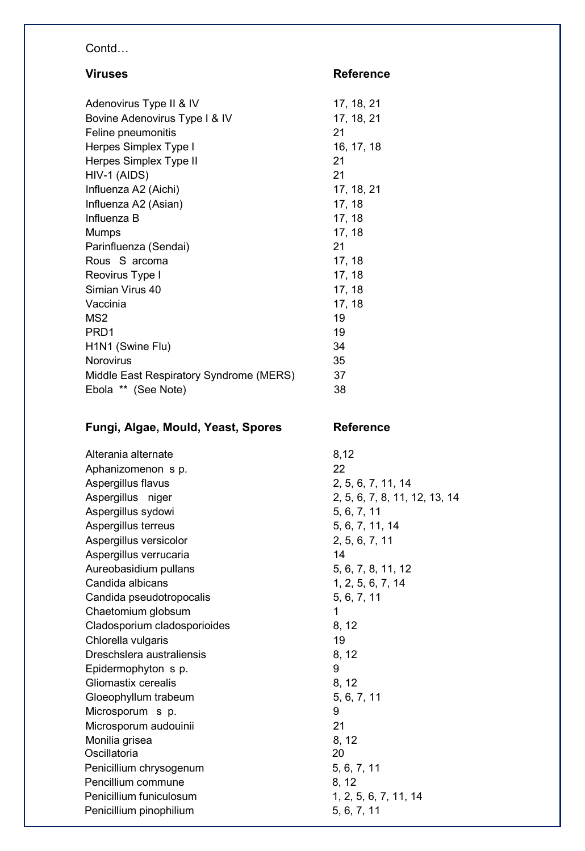# Contd…

| <b>Viruses</b>                                | <b>Reference</b>               |
|-----------------------------------------------|--------------------------------|
| Adenovirus Type II & IV                       | 17, 18, 21                     |
| Bovine Adenovirus Type I & IV                 | 17, 18, 21                     |
| Feline pneumonitis                            | 21                             |
| Herpes Simplex Type I                         | 16, 17, 18                     |
| Herpes Simplex Type II                        | 21                             |
| HIV-1 (AIDS)                                  | 21                             |
| Influenza A2 (Aichi)                          | 17, 18, 21                     |
| Influenza A2 (Asian)                          | 17, 18                         |
| Influenza B                                   | 17, 18                         |
| <b>Mumps</b>                                  | 17, 18                         |
| Parinfluenza (Sendai)                         | 21                             |
| Rous S arcoma                                 | 17, 18                         |
| Reovirus Type I                               | 17, 18                         |
| Simian Virus 40                               | 17, 18                         |
| Vaccinia                                      | 17, 18                         |
| MS <sub>2</sub>                               | 19                             |
| PRD1                                          | 19                             |
| H1N1 (Swine Flu)                              | 34                             |
| <b>Norovirus</b>                              | 35                             |
| Middle East Respiratory Syndrome (MERS)       | 37                             |
| Ebola ** (See Note)                           | 38                             |
|                                               |                                |
| Fungi, Algae, Mould, Yeast, Spores            | <b>Reference</b>               |
|                                               |                                |
| Alterania alternate                           | 8,12                           |
| Aphanizomenon s p.                            | 22                             |
| Aspergillus flavus                            | 2, 5, 6, 7, 11, 14             |
| Aspergillus niger                             | 2, 5, 6, 7, 8, 11, 12, 13, 14  |
| Aspergillus sydowi                            | 5, 6, 7, 11                    |
| Aspergillus terreus                           | 5, 6, 7, 11, 14                |
| Aspergillus versicolor                        | 2, 5, 6, 7, 11                 |
| Aspergillus verrucaria                        | 14                             |
| Aureobasidium pullans                         | 5, 6, 7, 8, 11, 12             |
| Candida albicans                              | 1, 2, 5, 6, 7, 14              |
| Candida pseudotropocalis                      | 5, 6, 7, 11                    |
| Chaetomium globsum                            | 1                              |
| Cladosporium cladosporioides                  | 8, 12                          |
| Chlorella vulgaris                            | 19                             |
| Dreschslera australiensis                     | 8, 12                          |
| Epidermophyton s p.                           | 9                              |
| Gliomastix cerealis                           | 8, 12                          |
| Gloeophyllum trabeum                          | 5, 6, 7, 11                    |
| Microsporum s p.                              | 9                              |
| Microsporum audouinii                         | 21                             |
| Monilia grisea                                | 8, 12                          |
| Oscillatoria                                  | 20                             |
| Penicillium chrysogenum                       | 5, 6, 7, 11                    |
| Pencillium commune<br>Penicillium funiculosum | 8, 12<br>1, 2, 5, 6, 7, 11, 14 |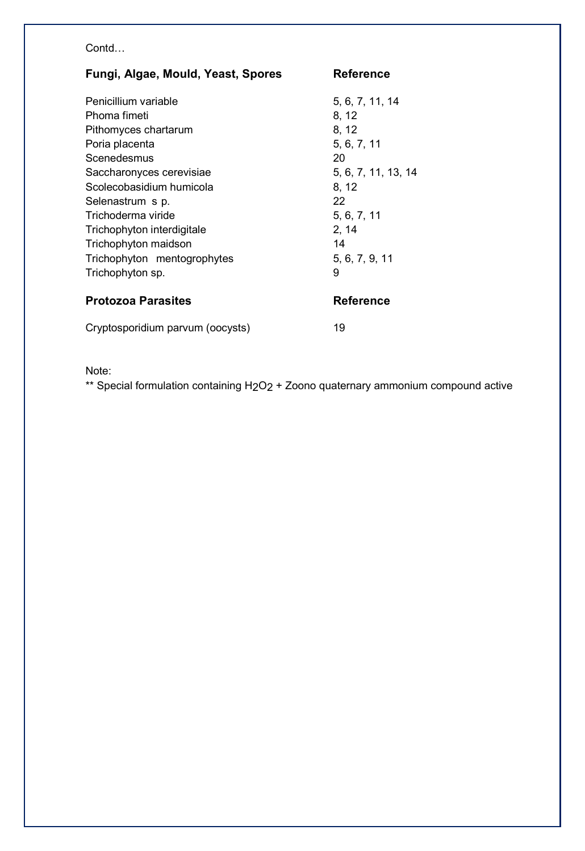## Contd…

| Fungi, Algae, Mould, Yeast, Spores | <b>Reference</b>    |
|------------------------------------|---------------------|
| Penicillium variable               | 5, 6, 7, 11, 14     |
| Phoma fimeti                       | 8, 12               |
| Pithomyces chartarum               | 8, 12               |
| Poria placenta                     | 5, 6, 7, 11         |
| Scenedesmus                        | 20                  |
| Saccharonyces cerevisiae           | 5, 6, 7, 11, 13, 14 |
| Scolecobasidium humicola           | 8, 12               |
| Selenastrum s p.                   | 22                  |
| Trichoderma viride                 | 5, 6, 7, 11         |
| Trichophyton interdigitale         | 2, 14               |
| Trichophyton maidson               | 14                  |
| Trichophyton mentogrophytes        | 5, 6, 7, 9, 11      |
| Trichophyton sp.                   | 9                   |
| <b>Protozoa Parasites</b>          | <b>Reference</b>    |
| Cryptosporidium parvum (oocysts)   | 19                  |

Note:

\*\* Special formulation containing H<sub>2</sub>O<sub>2</sub> + Zoono quaternary ammonium compound active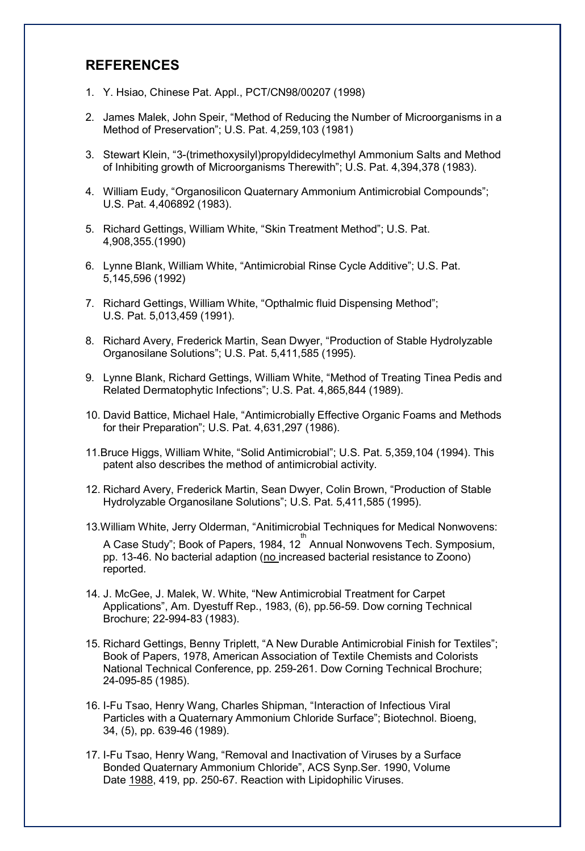## **REFERENCES**

- 1. Y. Hsiao, Chinese Pat. Appl., PCT/CN98/00207 (1998)
- 2. James Malek, John Speir, "Method of Reducing the Number of Microorganisms in a Method of Preservation"; U.S. Pat. 4,259,103 (1981)
- 3. Stewart Klein, "3-(trimethoxysilyl)propyldidecylmethyl Ammonium Salts and Method of Inhibiting growth of Microorganisms Therewith"; U.S. Pat. 4,394,378 (1983).
- 4. William Eudy, "Organosilicon Quaternary Ammonium Antimicrobial Compounds"; U.S. Pat. 4,406892 (1983).
- 5. Richard Gettings, William White, "Skin Treatment Method"; U.S. Pat. 4,908,355.(1990)
- 6. Lynne Blank, William White, "Antimicrobial Rinse Cycle Additive"; U.S. Pat. 5,145,596 (1992)
- 7. Richard Gettings, William White, "Opthalmic fluid Dispensing Method"; U.S. Pat. 5,013,459 (1991).
- 8. Richard Avery, Frederick Martin, Sean Dwyer, "Production of Stable Hydrolyzable Organosilane Solutions"; U.S. Pat. 5,411,585 (1995).
- 9. Lynne Blank, Richard Gettings, William White, "Method of Treating Tinea Pedis and Related Dermatophytic Infections"; U.S. Pat. 4,865,844 (1989).
- 10. David Battice, Michael Hale, "Antimicrobially Effective Organic Foams and Methods for their Preparation"; U.S. Pat. 4,631,297 (1986).
- 11.Bruce Higgs, William White, "Solid Antimicrobial"; U.S. Pat. 5,359,104 (1994). This patent also describes the method of antimicrobial activity.
- 12. Richard Avery, Frederick Martin, Sean Dwyer, Colin Brown, "Production of Stable Hydrolyzable Organosilane Solutions"; U.S. Pat. 5,411,585 (1995).
- 13.William White, Jerry Olderman, "Anitimicrobial Techniques for Medical Nonwovens: A Case Study"; Book of Papers, 1984, 12 $^{\text{th}}$  Annual Nonwovens Tech. Symposium, pp. 13-46. No bacterial adaption (no increased bacterial resistance to Zoono) reported.
- 14. J. McGee, J. Malek, W. White, "New Antimicrobial Treatment for Carpet Applications", Am. Dyestuff Rep., 1983, (6), pp.56-59. Dow corning Technical Brochure; 22-994-83 (1983).
- 15. Richard Gettings, Benny Triplett, "A New Durable Antimicrobial Finish for Textiles"; Book of Papers, 1978, American Association of Textile Chemists and Colorists National Technical Conference, pp. 259-261. Dow Corning Technical Brochure; 24-095-85 (1985).
- 16. I-Fu Tsao, Henry Wang, Charles Shipman, "Interaction of Infectious Viral Particles with a Quaternary Ammonium Chloride Surface"; Biotechnol. Bioeng, 34, (5), pp. 639-46 (1989).
- 17. I-Fu Tsao, Henry Wang, "Removal and Inactivation of Viruses by a Surface Bonded Quaternary Ammonium Chloride", ACS Synp.Ser. 1990, Volume Date 1988, 419, pp. 250-67. Reaction with Lipidophilic Viruses.